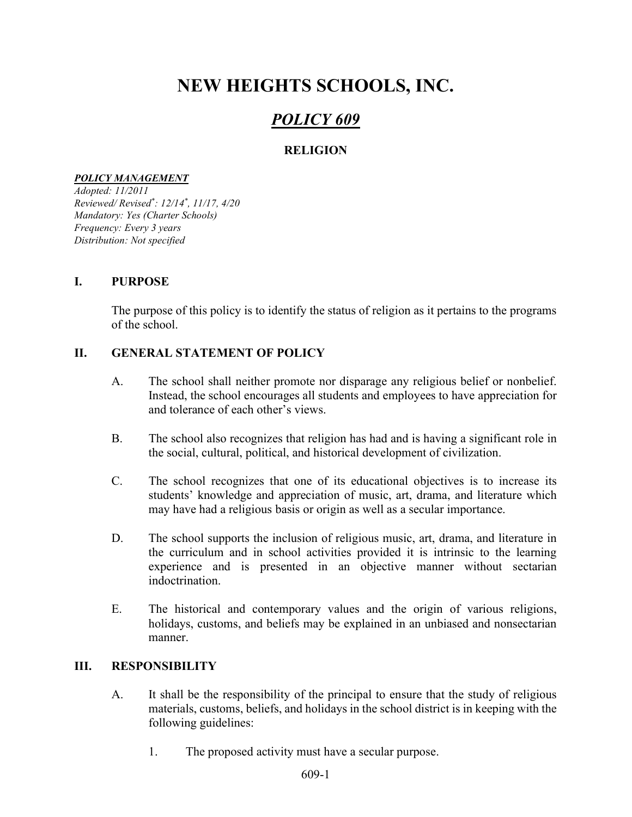# NEW HEIGHTS SCHOOLS, INC.

# POLICY 609

# RELIGION

#### POLICY MANAGEMENT

Adopted: 11/2011 Reviewed/ Revised\* : 12/14\* , 11/17, 4/20 Mandatory: Yes (Charter Schools) Frequency: Every 3 years Distribution: Not specified

#### I. PURPOSE

The purpose of this policy is to identify the status of religion as it pertains to the programs of the school.

### II. GENERAL STATEMENT OF POLICY

- A. The school shall neither promote nor disparage any religious belief or nonbelief. Instead, the school encourages all students and employees to have appreciation for and tolerance of each other's views.
- B. The school also recognizes that religion has had and is having a significant role in the social, cultural, political, and historical development of civilization.
- C. The school recognizes that one of its educational objectives is to increase its students' knowledge and appreciation of music, art, drama, and literature which may have had a religious basis or origin as well as a secular importance.
- D. The school supports the inclusion of religious music, art, drama, and literature in the curriculum and in school activities provided it is intrinsic to the learning experience and is presented in an objective manner without sectarian indoctrination.
- E. The historical and contemporary values and the origin of various religions, holidays, customs, and beliefs may be explained in an unbiased and nonsectarian manner.

## III. RESPONSIBILITY

- A. It shall be the responsibility of the principal to ensure that the study of religious materials, customs, beliefs, and holidays in the school district is in keeping with the following guidelines:
	- 1. The proposed activity must have a secular purpose.